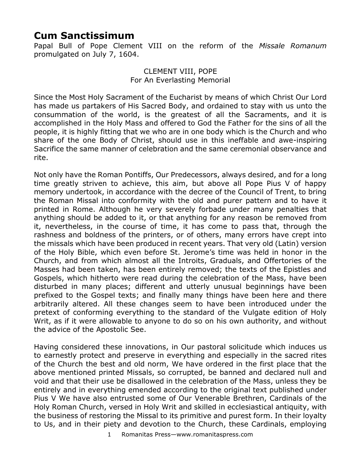## **Cum Sanctissimum**

Papal Bull of Pope Clement VIII on the reform of the *Missale Romanum* promulgated on July 7, 1604.

> CLEMENT VIII, POPE For An Everlasting Memorial

Since the Most Holy Sacrament of the Eucharist by means of which Christ Our Lord has made us partakers of His Sacred Body, and ordained to stay with us unto the consummation of the world, is the greatest of all the Sacraments, and it is accomplished in the Holy Mass and offered to God the Father for the sins of all the people, it is highly fitting that we who are in one body which is the Church and who share of the one Body of Christ, should use in this ineffable and awe-inspiring Sacrifice the same manner of celebration and the same ceremonial observance and rite.

Not only have the Roman Pontiffs, Our Predecessors, always desired, and for a long time greatly striven to achieve, this aim, but above all Pope Pius V of happy memory undertook, in accordance with the decree of the Council of Trent, to bring the Roman Missal into conformity with the old and purer pattern and to have it printed in Rome. Although he very severely forbade under many penalties that anything should be added to it, or that anything for any reason be removed from it, nevertheless, in the course of time, it has come to pass that, through the rashness and boldness of the printers, or of others, many errors have crept into the missals which have been produced in recent years. That very old (Latin) version of the Holy Bible, which even before St. Jerome's time was held in honor in the Church, and from which almost all the Introits, Graduals, and Offertories of the Masses had been taken, has been entirely removed; the texts of the Epistles and Gospels, which hitherto were read during the celebration of the Mass, have been disturbed in many places; different and utterly unusual beginnings have been prefixed to the Gospel texts; and finally many things have been here and there arbitrarily altered. All these changes seem to have been introduced under the pretext of conforming everything to the standard of the Vulgate edition of Holy Writ, as if it were allowable to anyone to do so on his own authority, and without the advice of the Apostolic See.

Having considered these innovations, in Our pastoral solicitude which induces us to earnestly protect and preserve in everything and especially in the sacred rites of the Church the best and old norm, We have ordered in the first place that the above mentioned printed Missals, so corrupted, be banned and declared null and void and that their use be disallowed in the celebration of the Mass, unless they be entirely and in everything emended according to the original text published under Pius V We have also entrusted some of Our Venerable Brethren, Cardinals of the Holy Roman Church, versed in Holy Writ and skilled in ecclesiastical antiquity, with the business of restoring the Missal to its primitive and purest form. In their loyalty to Us, and in their piety and devotion to the Church, these Cardinals, employing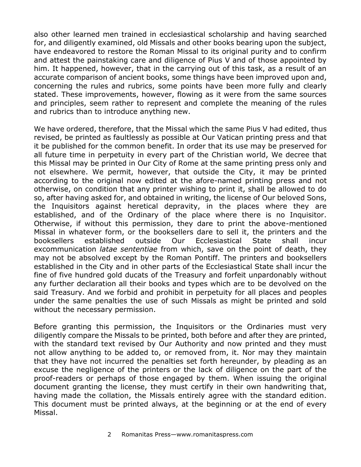also other learned men trained in ecclesiastical scholarship and having searched for, and diligently examined, old Missals and other books bearing upon the subject, have endeavored to restore the Roman Missal to its original purity and to confirm and attest the painstaking care and diligence of Pius V and of those appointed by him. It happened, however, that in the carrying out of this task, as a result of an accurate comparison of ancient books, some things have been improved upon and, concerning the rules and rubrics, some points have been more fully and clearly stated. These improvements, however, flowing as it were from the same sources and principles, seem rather to represent and complete the meaning of the rules and rubrics than to introduce anything new.

We have ordered, therefore, that the Missal which the same Pius V had edited, thus revised, be printed as faultlessly as possible at Our Vatican printing press and that it be published for the common benefit. In order that its use may be preserved for all future time in perpetuity in every part of the Christian world, We decree that this Missal may be printed in Our City of Rome at the same printing press only and not elsewhere. We permit, however, that outside the City, it may be printed according to the original now edited at the afore-named printing press and not otherwise, on condition that any printer wishing to print it, shall be allowed to do so, after having asked for, and obtained in writing, the license of Our beloved Sons, the Inquisitors against heretical depravity, in the places where they are established, and of the Ordinary of the place where there is no Inquisitor. Otherwise, if without this permission, they dare to print the above-mentioned Missal in whatever form, or the booksellers dare to sell it, the printers and the booksellers established outside Our Ecclesiastical State shall incur excommunication *latae sententiae* from which, save on the point of death, they may not be absolved except by the Roman Pontiff. The printers and booksellers established in the City and in other parts of the Ecclesiastical State shall incur the fine of five hundred gold ducats of the Treasury and forfeit unpardonably without any further declaration all their books and types which are to be devolved on the said Treasury. And we forbid and prohibit in perpetuity for all places and peoples under the same penalties the use of such Missals as might be printed and sold without the necessary permission.

Before granting this permission, the Inquisitors or the Ordinaries must very diligently compare the Missals to be printed, both before and after they are printed, with the standard text revised by Our Authority and now printed and they must not allow anything to be added to, or removed from, it. Nor may they maintain that they have not incurred the penalties set forth hereunder, by pleading as an excuse the negligence of the printers or the lack of diligence on the part of the proof-readers or perhaps of those engaged by them. When issuing the original document granting the license, they must certify in their own handwriting that, having made the collation, the Missals entirely agree with the standard edition. This document must be printed always, at the beginning or at the end of every Missal.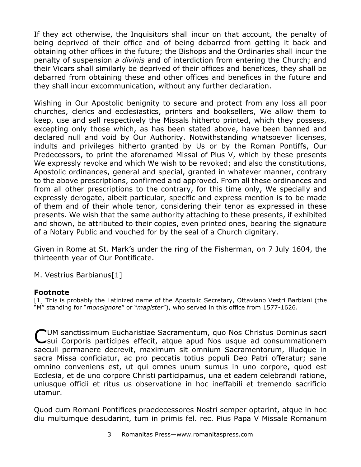If they act otherwise, the Inquisitors shall incur on that account, the penalty of being deprived of their office and of being debarred from getting it back and obtaining other offices in the future; the Bishops and the Ordinaries shall incur the penalty of suspension *a divinis* and of interdiction from entering the Church; and their Vicars shall similarly be deprived of their offices and benefices, they shall be debarred from obtaining these and other offices and benefices in the future and they shall incur excommunication, without any further declaration.

Wishing in Our Apostolic benignity to secure and protect from any loss all poor churches, clerics and ecclesiastics, printers and booksellers, We allow them to keep, use and sell respectively the Missals hitherto printed, which they possess, excepting only those which, as has been stated above, have been banned and declared null and void by Our Authority. Notwithstanding whatsoever licenses, indults and privileges hitherto granted by Us or by the Roman Pontiffs, Our Predecessors, to print the aforenamed Missal of Pius V, which by these presents We expressly revoke and which We wish to be revoked; and also the constitutions, Apostolic ordinances, general and special, granted in whatever manner, contrary to the above prescriptions, confirmed and approved. From all these ordinances and from all other prescriptions to the contrary, for this time only, We specially and expressly derogate, albeit particular, specific and express mention is to be made of them and of their whole tenor, considering their tenor as expressed in these presents. We wish that the same authority attaching to these presents, if exhibited and shown, be attributed to their copies, even printed ones, bearing the signature of a Notary Public and vouched for by the seal of a Church dignitary.

Given in Rome at St. Mark's under the ring of the Fisherman, on 7 July 1604, the thirteenth year of Our Pontificate.

M. Vestrius Barbianus[1]

## **Footnote**

[1] This is probably the Latinized name of the Apostolic Secretary, Ottaviano Vestri Barbiani (the "M" standing for "*monsignore*" or "*magister*"), who served in this office from 1577-1626.

UM sanctissimum Eucharistiae Sacramentum, quo Nos Christus Dominus sacri CUM sanctissimum Eucharistiae Sacramentum, quo Nos Christus Dominus sacri<br>Csui Corporis participes effecit, atque apud Nos usque ad consummationem saeculi permanere decrevit, maximum sit omnium Sacramentorum, illudque in sacra Missa conficiatur, ac pro peccatis totius populi Deo Patri offeratur; sane omnino conveniens est, ut qui omnes unum sumus in uno corpore, quod est Ecclesia, et de uno corpore Christi participamus, una et eadem celebrandi ratione, uniusque officii et ritus us observatione in hoc ineffabili et tremendo sacrificio utamur.

Quod cum Romani Pontifices praedecessores Nostri semper optarint, atque in hoc diu multumque desudarint, tum in primis fel. rec. Pius Papa V Missale Romanum

3 Romanitas Press—www.romanitaspress.com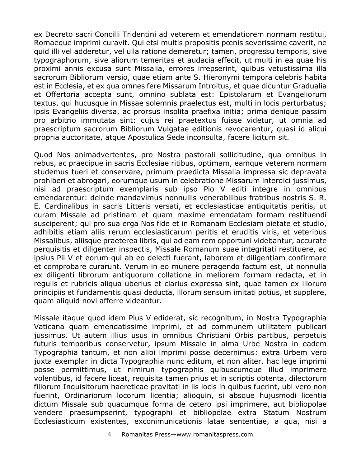ex Decreto sacri Concilii Tridentini ad veterem et emendatiorem normam restitui, Romaeque imprimi curavit. Qui etsi multis propositis pœnis severissime caverit, ne quid illi vel adderetur, vel ulla ratione demeretur; tamen, progressu temporis, sive typographorum, sive aliorum temeritas et audacia effecit, ut multi in ea quae his proximi annis excusa sunt Missalia, errores irrepserint, quibus vetustissima illa sacrorum Bibliorum versio, quae etiam ante S. Hieronymi tempora celebris habita est in Ecclesia, et ex qua omnes fere Missarum Introitus, et quae dicuntur Gradualia et Offertoria accepta sunt, omnino sublata est: Epistolarum et Evangeliorum textus, qui hucusque in Missae solemnis praelectus est, multi in locis perturbatus; ipsis Evangeliis diversa, ac prorsus insolita praefixa initia; prima denique passim pro arbitrio immutata sint: cujus rei praetextus fuisse videtur, ut omnia ad praescriptum sacrorum Bibliorum Vulgatae editionis revocarentur, quasi id alicui propria auctoritate, atque Apostulica Sede inconsulta, facere licitum sit.

Quod Nos animadvertentes, pro Nostra pastorali sollicitudine, qua omnibus in rebus, ac praecipue in sacris Ecclesiae ritibus, optimam, eamque veterem normam studemus tueri et conservare, primum praedicta Missalia impressa sic depravata prohiberi et abrogari, eorumque usum in celebratione Missarum interdici jussimus, nisi ad praescriptum exemplaris sub ipso Pio V editi integre in omnibus emendarentur: deinde mandavimus nonnullis venerabilibus fratribus nostris S. R. E. Cardinalibus in sacris Litteris versati, et ecclesiasticae antiquitatis peritis, ut curam Missale ad pristinam et quam maxime emendatam formam restituendi susciperent; qui pro sua erga Nos fide et in Romanam Ecclesiam pietate et studio, adhibitis etiam aliis rerum ecclesiasticarum peritis et eruditis viris, et veteribus Missalibus, aliisque praeterea libris, qui ad eam rem opportuni videbantur, accurate perquisitis et diligenter inspectis, Missale Romanum suae integritati restituere, ac ipsius Pii V et eorum qui ab eo delecti fuerant, laborem et diligentiam confirmare et comprobare curarunt. Verum in eo munere peragendo factum est, ut nonnulla ex diligenti librorum antiquorum collatione in meliorem formam redacta, et in regulis et rubricis aliqua uberius et clarius expressa sint, quae tamen ex illorum principiis et fundamentis quasi deducta, illorum sensum imitati potius, et supplere, quam aliquid novi afferre videantur.

Missale itaque quod idem Pius V ediderat, sic recognitum, in Nostra Typographia Vaticana quam emendatissime imprimi, et ad communem utilitatem publicari jussimus. Ut autem illius usus in omnibus Christiani Orbis partibus, perpetuis futuris temporibus conservetur, ipsum Missale in alma Urbe Nostra in eadem Typographia tantum, et non alibi imprimi posse decernimus: extra Urbem vero juxta exemplar in dicta Typographia nunc editum, et non aliter, hac lege imprimi posse permittimus, ut nimirun typographis quibuscumque illud imprimere volentibus, id facere liceat, requisita tamen prius et in scriptis obtenta, dilectorum filiorum Inquisitorum haereticae pravitati in iis locis in quibus fuerint, ubi vero non fuerint, Ordinariorum locorum licentia; alioquin, si absque hujusmodi licentia dictum Missale sub quacumque forma de cetero ipsi imprimere, aut bibliopolae vendere praesumpserint, typographi et bibliopolae extra Statum Nostrum Ecclesiasticum existentes, exconimunicationis latae sententiae, a qua, nisi a